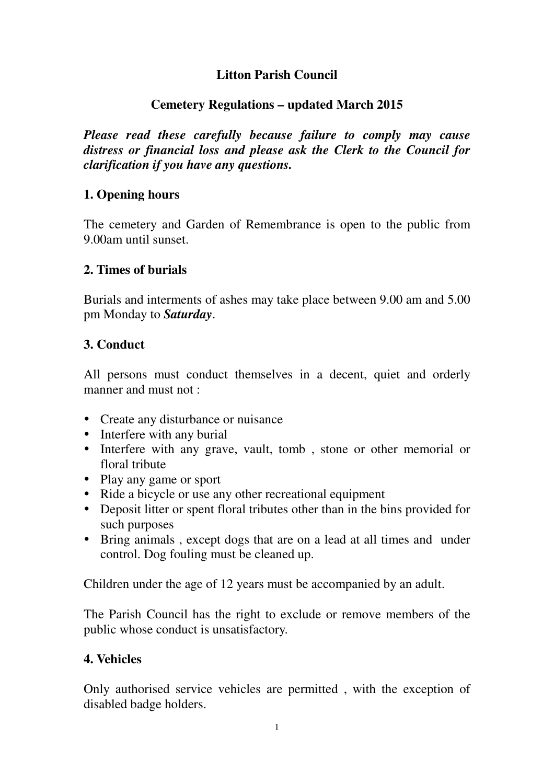## **Litton Parish Council**

## **Cemetery Regulations – updated March 2015**

*Please read these carefully because failure to comply may cause distress or financial loss and please ask the Clerk to the Council for clarification if you have any questions.* 

### **1. Opening hours**

The cemetery and Garden of Remembrance is open to the public from 9.00am until sunset.

### **2. Times of burials**

Burials and interments of ashes may take place between 9.00 am and 5.00 pm Monday to *Saturday*.

### **3. Conduct**

All persons must conduct themselves in a decent, quiet and orderly manner and must not :

- Create any disturbance or nuisance
- Interfere with any burial
- Interfere with any grave, vault, tomb, stone or other memorial or floral tribute
- Play any game or sport
- Ride a bicycle or use any other recreational equipment
- Deposit litter or spent floral tributes other than in the bins provided for such purposes
- Bring animals , except dogs that are on a lead at all times and under control. Dog fouling must be cleaned up.

Children under the age of 12 years must be accompanied by an adult.

The Parish Council has the right to exclude or remove members of the public whose conduct is unsatisfactory.

## **4. Vehicles**

Only authorised service vehicles are permitted , with the exception of disabled badge holders.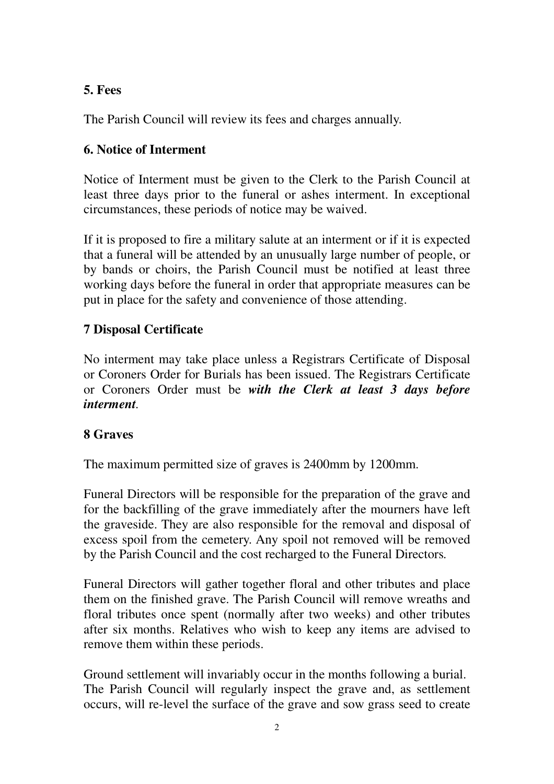# **5. Fees**

The Parish Council will review its fees and charges annually.

## **6. Notice of Interment**

Notice of Interment must be given to the Clerk to the Parish Council at least three days prior to the funeral or ashes interment. In exceptional circumstances, these periods of notice may be waived.

If it is proposed to fire a military salute at an interment or if it is expected that a funeral will be attended by an unusually large number of people, or by bands or choirs, the Parish Council must be notified at least three working days before the funeral in order that appropriate measures can be put in place for the safety and convenience of those attending.

### **7 Disposal Certificate**

No interment may take place unless a Registrars Certificate of Disposal or Coroners Order for Burials has been issued. The Registrars Certificate or Coroners Order must be *with the Clerk at least 3 days before interment.* 

#### **8 Graves**

The maximum permitted size of graves is 2400mm by 1200mm.

Funeral Directors will be responsible for the preparation of the grave and for the backfilling of the grave immediately after the mourners have left the graveside. They are also responsible for the removal and disposal of excess spoil from the cemetery. Any spoil not removed will be removed by the Parish Council and the cost recharged to the Funeral Directors*.* 

Funeral Directors will gather together floral and other tributes and place them on the finished grave. The Parish Council will remove wreaths and floral tributes once spent (normally after two weeks) and other tributes after six months. Relatives who wish to keep any items are advised to remove them within these periods.

Ground settlement will invariably occur in the months following a burial. The Parish Council will regularly inspect the grave and, as settlement occurs, will re-level the surface of the grave and sow grass seed to create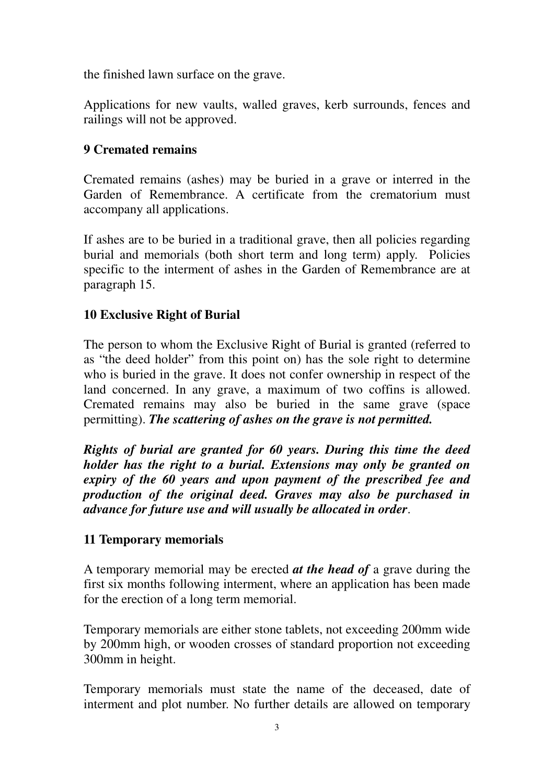the finished lawn surface on the grave.

Applications for new vaults, walled graves, kerb surrounds, fences and railings will not be approved.

### **9 Cremated remains**

Cremated remains (ashes) may be buried in a grave or interred in the Garden of Remembrance. A certificate from the crematorium must accompany all applications.

If ashes are to be buried in a traditional grave, then all policies regarding burial and memorials (both short term and long term) apply. Policies specific to the interment of ashes in the Garden of Remembrance are at paragraph 15.

## **10 Exclusive Right of Burial**

The person to whom the Exclusive Right of Burial is granted (referred to as "the deed holder" from this point on) has the sole right to determine who is buried in the grave. It does not confer ownership in respect of the land concerned. In any grave, a maximum of two coffins is allowed. Cremated remains may also be buried in the same grave (space permitting). *The scattering of ashes on the grave is not permitted.*

*Rights of burial are granted for 60 years. During this time the deed holder has the right to a burial. Extensions may only be granted on expiry of the 60 years and upon payment of the prescribed fee and production of the original deed. Graves may also be purchased in advance for future use and will usually be allocated in order*.

#### **11 Temporary memorials**

A temporary memorial may be erected *at the head of* a grave during the first six months following interment, where an application has been made for the erection of a long term memorial.

Temporary memorials are either stone tablets, not exceeding 200mm wide by 200mm high, or wooden crosses of standard proportion not exceeding 300mm in height.

Temporary memorials must state the name of the deceased, date of interment and plot number. No further details are allowed on temporary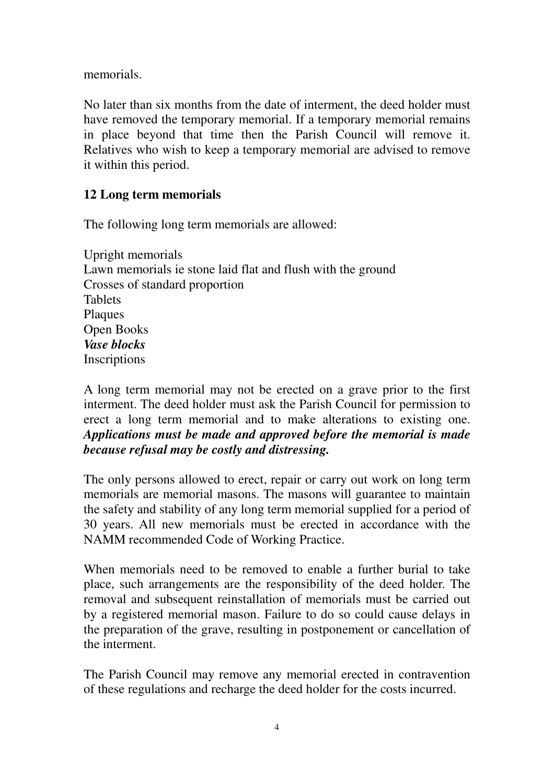memorials.

No later than six months from the date of interment, the deed holder must have removed the temporary memorial. If a temporary memorial remains in place beyond that time then the Parish Council will remove it. Relatives who wish to keep a temporary memorial are advised to remove it within this period.

### **12 Long term memorials**

The following long term memorials are allowed:

Upright memorials Lawn memorials ie stone laid flat and flush with the ground Crosses of standard proportion Tablets **Plaques** Open Books *Vase blocks*  Inscriptions

A long term memorial may not be erected on a grave prior to the first interment. The deed holder must ask the Parish Council for permission to erect a long term memorial and to make alterations to existing one. *Applications must be made and approved before the memorial is made because refusal may be costly and distressing.* 

The only persons allowed to erect, repair or carry out work on long term memorials are memorial masons. The masons will guarantee to maintain the safety and stability of any long term memorial supplied for a period of 30 years. All new memorials must be erected in accordance with the NAMM recommended Code of Working Practice.

When memorials need to be removed to enable a further burial to take place, such arrangements are the responsibility of the deed holder. The removal and subsequent reinstallation of memorials must be carried out by a registered memorial mason. Failure to do so could cause delays in the preparation of the grave, resulting in postponement or cancellation of the interment.

The Parish Council may remove any memorial erected in contravention of these regulations and recharge the deed holder for the costs incurred.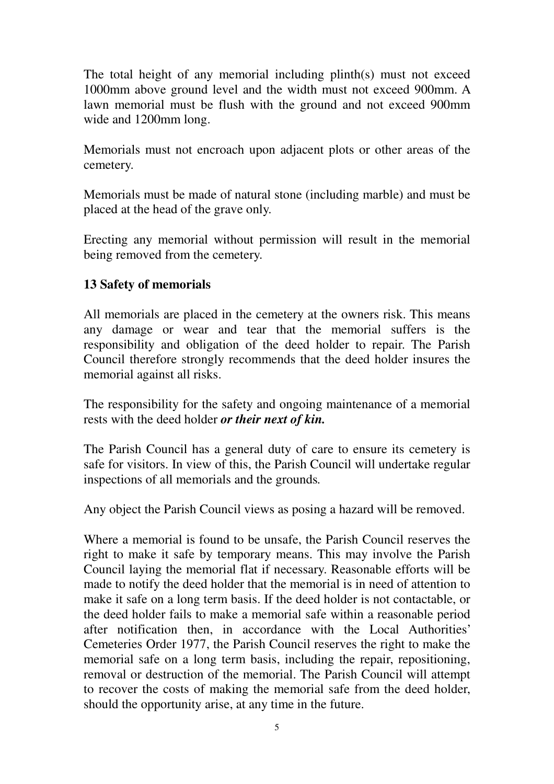The total height of any memorial including plinth(s) must not exceed 1000mm above ground level and the width must not exceed 900mm. A lawn memorial must be flush with the ground and not exceed 900mm wide and 1200mm long.

Memorials must not encroach upon adjacent plots or other areas of the cemetery.

Memorials must be made of natural stone (including marble) and must be placed at the head of the grave only.

Erecting any memorial without permission will result in the memorial being removed from the cemetery.

### **13 Safety of memorials**

All memorials are placed in the cemetery at the owners risk. This means any damage or wear and tear that the memorial suffers is the responsibility and obligation of the deed holder to repair. The Parish Council therefore strongly recommends that the deed holder insures the memorial against all risks.

The responsibility for the safety and ongoing maintenance of a memorial rests with the deed holder *or their next of kin.*

The Parish Council has a general duty of care to ensure its cemetery is safe for visitors. In view of this, the Parish Council will undertake regular inspections of all memorials and the grounds*.* 

Any object the Parish Council views as posing a hazard will be removed.

Where a memorial is found to be unsafe, the Parish Council reserves the right to make it safe by temporary means. This may involve the Parish Council laying the memorial flat if necessary. Reasonable efforts will be made to notify the deed holder that the memorial is in need of attention to make it safe on a long term basis. If the deed holder is not contactable, or the deed holder fails to make a memorial safe within a reasonable period after notification then, in accordance with the Local Authorities' Cemeteries Order 1977, the Parish Council reserves the right to make the memorial safe on a long term basis, including the repair, repositioning, removal or destruction of the memorial. The Parish Council will attempt to recover the costs of making the memorial safe from the deed holder, should the opportunity arise, at any time in the future.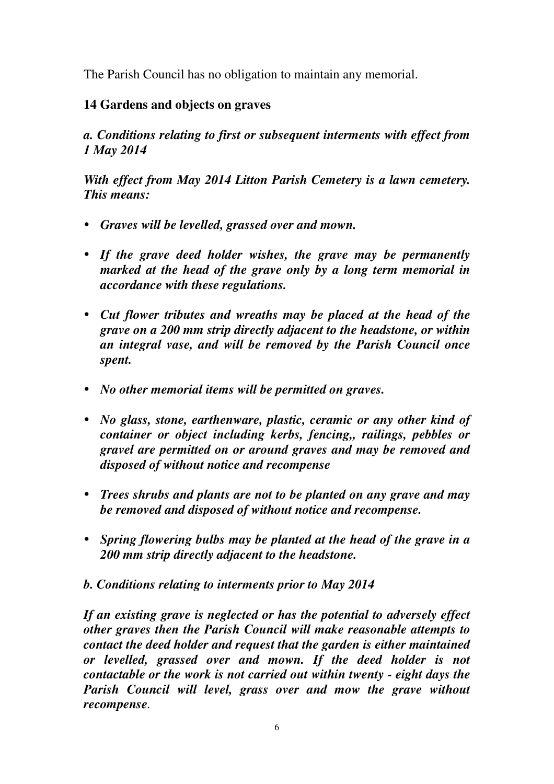The Parish Council has no obligation to maintain any memorial.

## **14 Gardens and objects on graves**

*a. Conditions relating to first or subsequent interments with effect from 1 May 2014* 

*With effect from May 2014 Litton Parish Cemetery is a lawn cemetery. This means:* 

- *Graves will be levelled, grassed over and mown.*
- *If the grave deed holder wishes, the grave may be permanently marked at the head of the grave only by a long term memorial in accordance with these regulations.*
- *Cut flower tributes and wreaths may be placed at the head of the grave on a 200 mm strip directly adjacent to the headstone, or within an integral vase, and will be removed by the Parish Council once spent.*
- *No other memorial items will be permitted on graves.*
- *No glass, stone, earthenware, plastic, ceramic or any other kind of container or object including kerbs, fencing,, railings, pebbles or gravel are permitted on or around graves and may be removed and disposed of without notice and recompense*
- *Trees shrubs and plants are not to be planted on any grave and may be removed and disposed of without notice and recompense.*
- *Spring flowering bulbs may be planted at the head of the grave in a 200 mm strip directly adjacent to the headstone.*
- *b. Conditions relating to interments prior to May 2014*

*If an existing grave is neglected or has the potential to adversely effect other graves then the Parish Council will make reasonable attempts to contact the deed holder and request that the garden is either maintained or levelled, grassed over and mown. If the deed holder is not contactable or the work is not carried out within twenty - eight days the Parish Council will level, grass over and mow the grave without recompense.*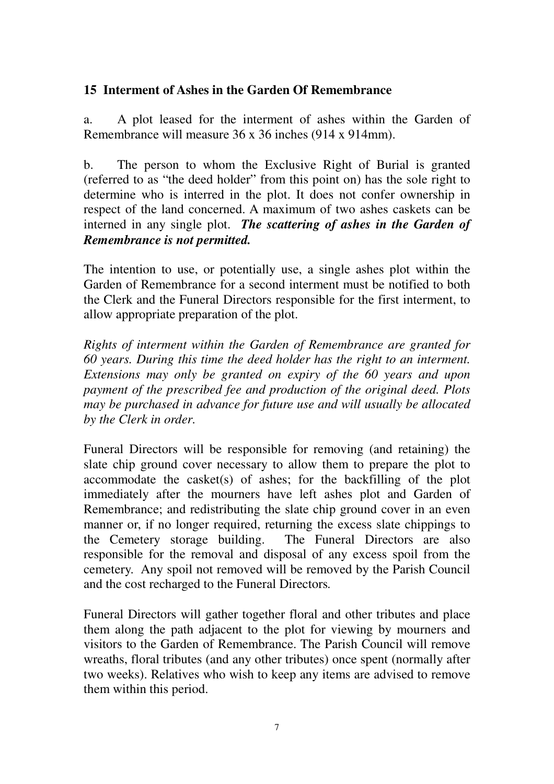### **15 Interment of Ashes in the Garden Of Remembrance**

a. A plot leased for the interment of ashes within the Garden of Remembrance will measure 36 x 36 inches (914 x 914mm).

b. The person to whom the Exclusive Right of Burial is granted (referred to as "the deed holder" from this point on) has the sole right to determine who is interred in the plot. It does not confer ownership in respect of the land concerned. A maximum of two ashes caskets can be interned in any single plot. *The scattering of ashes in the Garden of Remembrance is not permitted.*

The intention to use, or potentially use, a single ashes plot within the Garden of Remembrance for a second interment must be notified to both the Clerk and the Funeral Directors responsible for the first interment, to allow appropriate preparation of the plot.

*Rights of interment within the Garden of Remembrance are granted for 60 years. During this time the deed holder has the right to an interment. Extensions may only be granted on expiry of the 60 years and upon payment of the prescribed fee and production of the original deed. Plots may be purchased in advance for future use and will usually be allocated by the Clerk in order.* 

Funeral Directors will be responsible for removing (and retaining) the slate chip ground cover necessary to allow them to prepare the plot to accommodate the casket(s) of ashes; for the backfilling of the plot immediately after the mourners have left ashes plot and Garden of Remembrance; and redistributing the slate chip ground cover in an even manner or, if no longer required, returning the excess slate chippings to the Cemetery storage building. The Funeral Directors are also responsible for the removal and disposal of any excess spoil from the cemetery. Any spoil not removed will be removed by the Parish Council and the cost recharged to the Funeral Directors*.* 

Funeral Directors will gather together floral and other tributes and place them along the path adjacent to the plot for viewing by mourners and visitors to the Garden of Remembrance. The Parish Council will remove wreaths, floral tributes (and any other tributes) once spent (normally after two weeks). Relatives who wish to keep any items are advised to remove them within this period.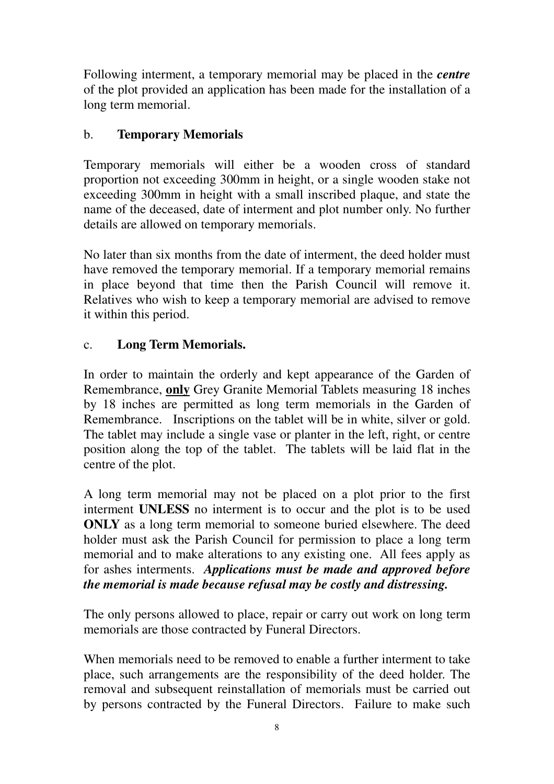Following interment, a temporary memorial may be placed in the *centre* of the plot provided an application has been made for the installation of a long term memorial.

# b. **Temporary Memorials**

Temporary memorials will either be a wooden cross of standard proportion not exceeding 300mm in height, or a single wooden stake not exceeding 300mm in height with a small inscribed plaque, and state the name of the deceased, date of interment and plot number only. No further details are allowed on temporary memorials.

No later than six months from the date of interment, the deed holder must have removed the temporary memorial. If a temporary memorial remains in place beyond that time then the Parish Council will remove it. Relatives who wish to keep a temporary memorial are advised to remove it within this period.

# c. **Long Term Memorials.**

In order to maintain the orderly and kept appearance of the Garden of Remembrance, **only** Grey Granite Memorial Tablets measuring 18 inches by 18 inches are permitted as long term memorials in the Garden of Remembrance. Inscriptions on the tablet will be in white, silver or gold. The tablet may include a single vase or planter in the left, right, or centre position along the top of the tablet. The tablets will be laid flat in the centre of the plot.

A long term memorial may not be placed on a plot prior to the first interment **UNLESS** no interment is to occur and the plot is to be used **ONLY** as a long term memorial to someone buried elsewhere. The deed holder must ask the Parish Council for permission to place a long term memorial and to make alterations to any existing one. All fees apply as for ashes interments. *Applications must be made and approved before the memorial is made because refusal may be costly and distressing.* 

The only persons allowed to place, repair or carry out work on long term memorials are those contracted by Funeral Directors.

When memorials need to be removed to enable a further interment to take place, such arrangements are the responsibility of the deed holder. The removal and subsequent reinstallation of memorials must be carried out by persons contracted by the Funeral Directors. Failure to make such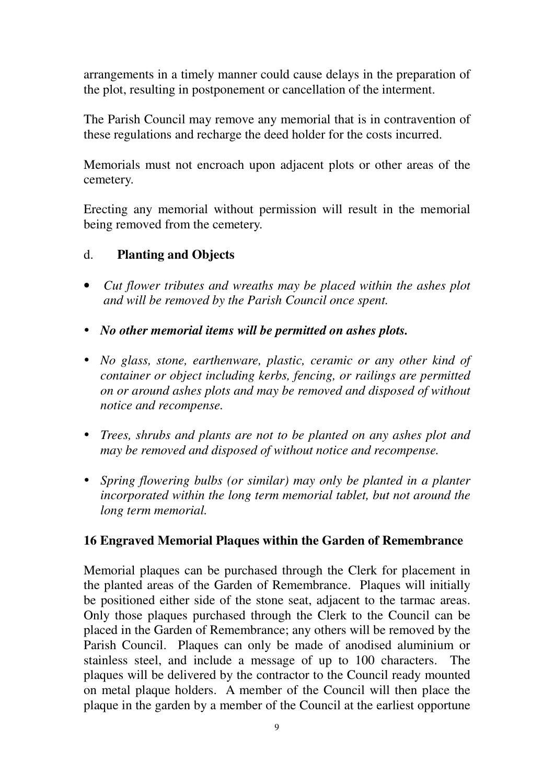arrangements in a timely manner could cause delays in the preparation of the plot, resulting in postponement or cancellation of the interment.

The Parish Council may remove any memorial that is in contravention of these regulations and recharge the deed holder for the costs incurred.

Memorials must not encroach upon adjacent plots or other areas of the cemetery.

Erecting any memorial without permission will result in the memorial being removed from the cemetery.

### d. **Planting and Objects**

- *Cut flower tributes and wreaths may be placed within the ashes plot and will be removed by the Parish Council once spent.*
- *No other memorial items will be permitted on ashes plots.*
- *No glass, stone, earthenware, plastic, ceramic or any other kind of container or object including kerbs, fencing, or railings are permitted on or around ashes plots and may be removed and disposed of without notice and recompense.*
- *Trees, shrubs and plants are not to be planted on any ashes plot and may be removed and disposed of without notice and recompense.*
- *Spring flowering bulbs (or similar) may only be planted in a planter incorporated within the long term memorial tablet, but not around the long term memorial.*

#### **16 Engraved Memorial Plaques within the Garden of Remembrance**

Memorial plaques can be purchased through the Clerk for placement in the planted areas of the Garden of Remembrance. Plaques will initially be positioned either side of the stone seat, adjacent to the tarmac areas. Only those plaques purchased through the Clerk to the Council can be placed in the Garden of Remembrance; any others will be removed by the Parish Council. Plaques can only be made of anodised aluminium or stainless steel, and include a message of up to 100 characters. The plaques will be delivered by the contractor to the Council ready mounted on metal plaque holders. A member of the Council will then place the plaque in the garden by a member of the Council at the earliest opportune